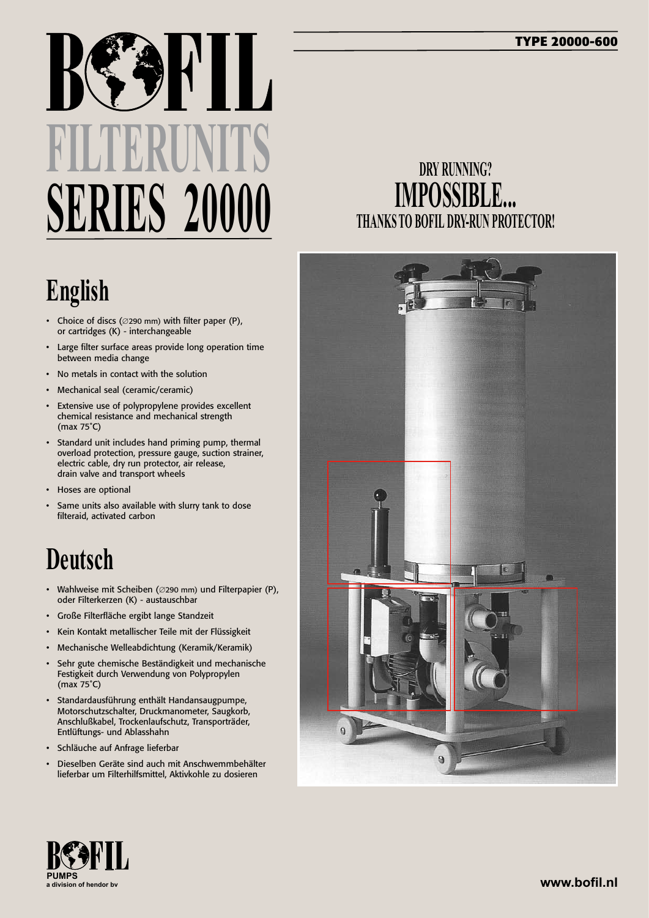# **FILTERUNITS SERIES 20000**

## **English**

- • Choice of discs (∅290 mm) with filter paper (P), or cartridges (K) - interchangeable
- Large filter surface areas provide long operation time between media change
- No metals in contact with the solution
- • Mechanical seal (ceramic/ceramic)
- • Extensive use of polypropylene provides excellent chemical resistance and mechanical strength (max 75˚C)
- • Standard unit includes hand priming pump, thermal overload protection, pressure gauge, suction strainer, electric cable, dry run protector, air release, drain valve and transport wheels
- • Hoses are optional
- Same units also available with slurry tank to dose filteraid, activated carbon

### **Deutsch**

- • Wahlweise mit Scheiben (∅290 mm) und Filterpapier (P), oder Filterkerzen (K) - austauschbar
- • Große Filterfläche ergibt lange Standzeit
- • Kein Kontakt metallischer Teile mit der Flüssigkeit
- Mechanische Welleabdichtung (Keramik/Keramik)
- Sehr gute chemische Beständigkeit und mechanische Festigkeit durch Verwendung von Polypropylen (max 75˚C)
- • Standardausführung enthält Handansaugpumpe, Motorschutzschalter, Druckmanometer, Saugkorb, Anschlußkabel, Trockenlaufschutz, Transporträder, Entlüftungs- und Ablasshahn
- • Schläuche auf Anfrage lieferbar
- Dieselben Geräte sind auch mit Anschwemmbehälter lieferbar um Filterhilfsmittel, Aktivkohle zu dosieren

#### **DRY RUNNING? IMPOSSIBLE... THANKS TO BOFIL DRY-RUN PROTECTOR!**